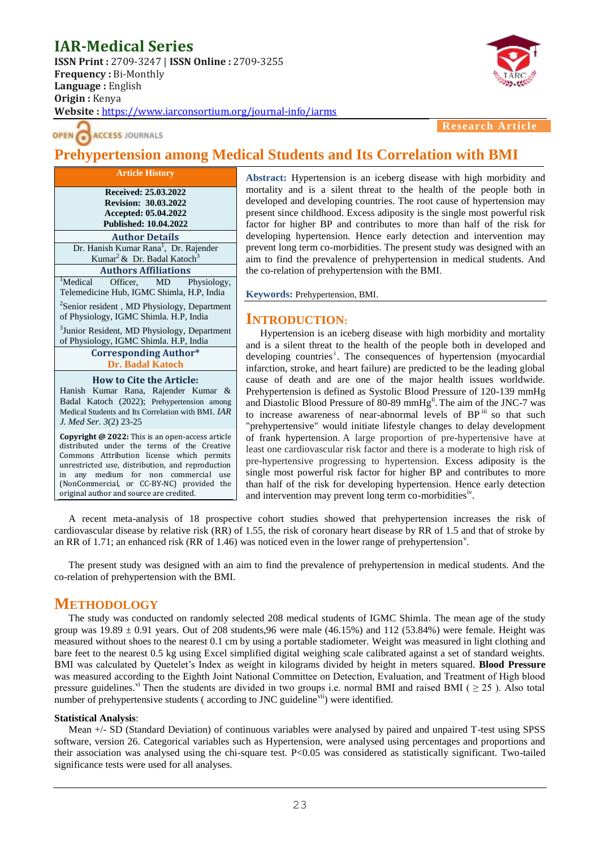# **IAR-Medical Series**

**ISSN Print :** 2709-3247 | **ISSN Online :** 2709-3255 **Frequency :** Bi-Monthly **Language :** English **Origin :** Kenya **Website :** <https://www.iarconsortium.org/journal-info/iarms>



**ACCESS JOURNALS OPEN** 

**Research A** 

## **Prehypertension among Medical Students and Its Correlation with BMI**

| <b>Article History</b>                                  |  |  |  |  |
|---------------------------------------------------------|--|--|--|--|
| Received: 25.03.2022                                    |  |  |  |  |
| <b>Revision: 30.03.2022</b>                             |  |  |  |  |
| Accepted: 05.04.2022                                    |  |  |  |  |
| <b>Published: 10.04.2022</b>                            |  |  |  |  |
| <b>Author Details</b>                                   |  |  |  |  |
| Dr. Hanish Kumar Rana <sup>1</sup> , Dr. Rajender       |  |  |  |  |
| Kumar <sup>2</sup> & Dr. Badal Katoch <sup>3</sup>      |  |  |  |  |
| <b>Authors Affiliations</b>                             |  |  |  |  |
| 'Medical<br>Officer, MD Physiology,                     |  |  |  |  |
| Telemedicine Hub, IGMC Shimla, H.P, India               |  |  |  |  |
| <sup>2</sup> Senior resident, MD Physiology, Department |  |  |  |  |
| of Physiology, IGMC Shimla. H.P, India                  |  |  |  |  |
| <sup>3</sup> Junior Resident, MD Physiology, Department |  |  |  |  |
| of Physiology, IGMC Shimla. H.P, India                  |  |  |  |  |
| <b>Corresponding Author*</b>                            |  |  |  |  |
| <b>Dr. Badal Katoch</b>                                 |  |  |  |  |
| <b>How to Cite the Article:</b>                         |  |  |  |  |
| Hanish Kumar Rana, Rajender Kumar &                     |  |  |  |  |
| Badal Katoch (2022); Prehypertension among              |  |  |  |  |
| Medical Students and Its Correlation with BMI. IAR      |  |  |  |  |
| J. Med Ser. 3(2) 23-25                                  |  |  |  |  |

**Copyright @ 2022:** This is an open-access article distributed under the terms of the Creative Commons Attribution license which permits unrestricted use, distribution, and reproduction in any medium for non commercial use (NonCommercial, or CC-BY-NC) provided the original author and source are credited.

**Abstract:** Hypertension is an iceberg disease with high morbidity and mortality and is a silent threat to the health of the people both in developed and developing countries. The root cause of hypertension may present since childhood. Excess adiposity is the single most powerful risk factor for higher BP and contributes to more than half of the risk for developing hypertension. Hence early detection and intervention may prevent long term co-morbidities. The present study was designed with an aim to find the prevalence of prehypertension in medical students. And the co-relation of prehypertension with the BMI.

**Keywords:** Prehypertension, BMI.

### **INTRODUCTION:**

Hypertension is an iceberg disease with high morbidity and mortality and is a silent threat to the health of the people both in developed and developing countries<sup>i</sup>. The consequences of hypertension (myocardial infarction, stroke, and heart failure) are predicted to be the leading global cause of death and are one of the major health issues worldwide. Prehypertension is defined as Systolic Blood Pressure of 120-139 mmHg and Diastolic Blood Pressure of 80-89 mmHg<sup>ii</sup>. The aim of the JNC-7 was to increase awareness of near-abnormal levels of BP<sup>iii</sup> so that such "prehypertensive" would initiate lifestyle changes to delay development of frank hypertension. A large proportion of pre-hypertensive have at least one cardiovascular risk factor and there is a moderate to high risk of pre-hypertensive progressing to hypertension. Excess adiposity is the single most powerful risk factor for higher BP and contributes to more than half of the risk for developing hypertension. Hence early detection and intervention may prevent long term co-morbidities<sup>iv</sup>.

A recent meta-analysis of 18 prospective cohort studies showed that prehypertension increases the risk of cardiovascular disease by relative risk (RR) of 1.55, the risk of coronary heart disease by RR of 1.5 and that of stroke by an RR of 1.71; an enhanced risk (RR of 1.46) was noticed even in the lower range of prehypertension<sup>v</sup>.

The present study was designed with an aim to find the prevalence of prehypertension in medical students. And the co-relation of prehypertension with the BMI.

## **METHODOLOGY**

The study was conducted on randomly selected 208 medical students of IGMC Shimla. The mean age of the study group was  $19.89 \pm 0.91$  years. Out of 208 students, 96 were male (46.15%) and 112 (53.84%) were female. Height was measured without shoes to the nearest 0.1 cm by using a portable stadiometer. Weight was measured in light clothing and bare feet to the nearest 0.5 kg using Excel simplified digital weighing scale calibrated against a set of standard weights. BMI was calculated by Quetelet's Index as weight in kilograms divided by height in meters squared. **Blood Pressure** was measured according to the Eighth Joint National Committee on Detection, Evaluation, and Treatment of High blood pressure guidelines.<sup>vi</sup> Then the students are divided in two groups i.e. normal BMI and raised BMI ( $\geq$  25). Also total number of prehypertensive students (according to JNC guideline<sup>vii</sup>) were identified.

#### **Statistical Analysis**:

Mean +/- SD (Standard Deviation) of continuous variables were analysed by paired and unpaired T-test using SPSS software, version 26. Categorical variables such as Hypertension, were analysed using percentages and proportions and their association was analysed using the chi-square test. P<0.05 was considered as statistically significant. Two-tailed significance tests were used for all analyses.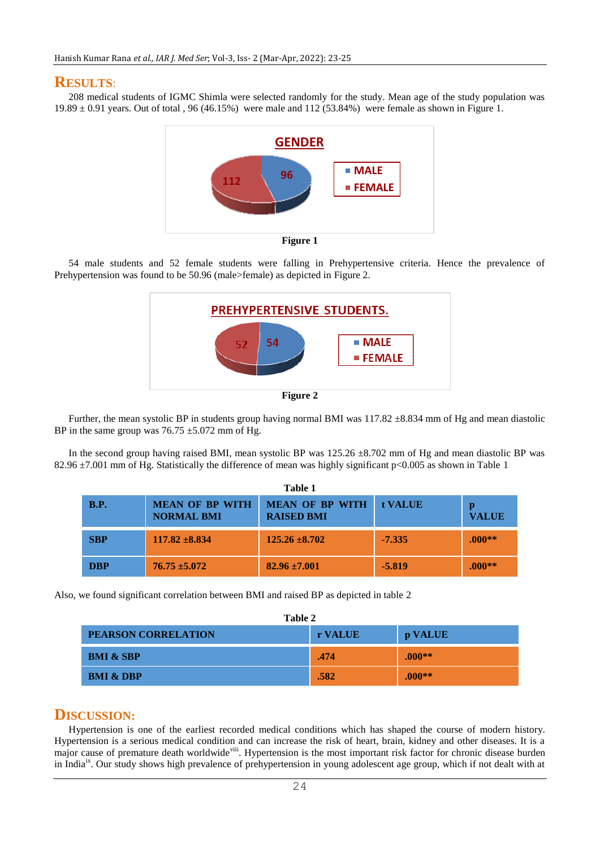### **RESULTS**:

208 medical students of IGMC Shimla were selected randomly for the study. Mean age of the study population was 19.89 ± 0.91 years. Out of total , 96 (46.15%) were male and 112 (53.84%) were female as shown in Figure 1.



**Figure 1**

54 male students and 52 female students were falling in Prehypertensive criteria. Hence the prevalence of Prehypertension was found to be 50.96 (male>female) as depicted in Figure 2.



Further, the mean systolic BP in students group having normal BMI was  $117.82 \pm 8.834$  mm of Hg and mean diastolic BP in the same group was  $76.75 \pm 5.072$  mm of Hg.

In the second group having raised BMI, mean systolic BP was  $125.26 \pm 8.702$  mm of Hg and mean diastolic BP was 82.96 ±7.001 mm of Hg. Statistically the difference of mean was highly significant p<0.005 as shown in Table 1

| <b>B.P.</b> | <b>MEAN OF BP WITH</b><br><b>NORMAL BMI</b> | <b>MEAN OF BP WITH</b><br><b>RAISED BMI</b> | t VALUE  | <b>VALUE</b> |
|-------------|---------------------------------------------|---------------------------------------------|----------|--------------|
| <b>SBP</b>  | $117.82 \pm 8.834$                          | $125.26 \pm 8.702$                          | $-7.335$ | $.000**$     |
| <b>DBP</b>  | $76.75 \pm 5.072$                           | $82.96 \pm 7.001$                           | $-5.819$ | $.000**$     |

Also, we found significant correlation between BMI and raised BP as depicted in table 2

| Table 2                    |         |          |  |  |
|----------------------------|---------|----------|--|--|
| <b>PEARSON CORRELATION</b> | r VALUE | p VALUE  |  |  |
| <b>BMI &amp; SBP</b>       | .474    | $.000**$ |  |  |
| <b>BMI &amp; DBP</b>       | .582    | $.000**$ |  |  |

## **DISCUSSION:**

Hypertension is one of the earliest recorded medical conditions which has shaped the course of modern history. Hypertension is a serious medical condition and can increase the risk of heart, brain, kidney and other diseases. It is a major cause of premature death worldwide<sup>viii</sup>. Hypertension is the most important risk factor for chronic disease burden in India<sup>ix</sup>. Our study shows high prevalence of prehypertension in young adolescent age group, which if not dealt with at